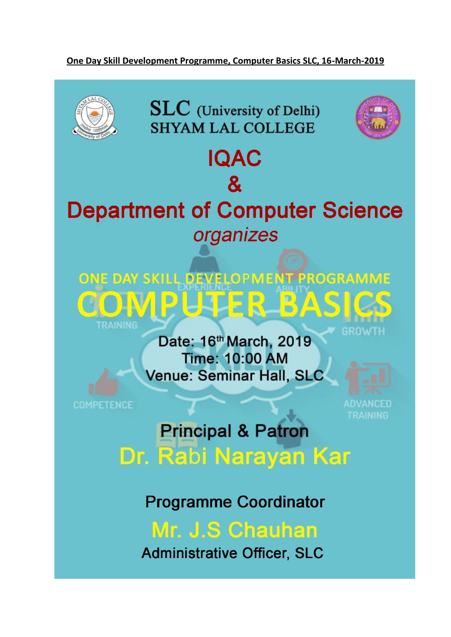### One Day Skill Development Programme, Computer Basics SLC, 16-March-2019



**SLC** (University of Delhi) **SHYAM LAL COLLEGE** 

**IQAC** 

 $\mathbf{g}$ 



# **Department of Computer Science** organizes



Date: 16th March, 2019 **Time: 10:00 AM Venue: Seminar Hall, SLC** 

**COMPETENCE** 

ADVANCED **TRAINING** 

# **Principal & Patron** Dr. Rabi Narayan Kar

**Programme Coordinator** 

Mr. J.S Chauhan

**Administrative Officer, SLC**